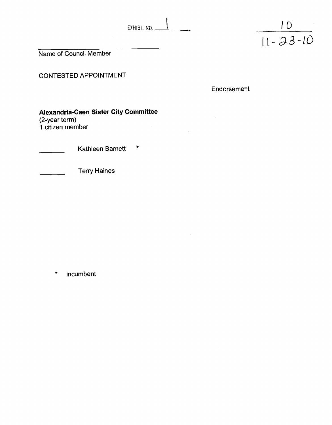



Name of Council Member

CONTESTED APPOINTMENT

Endorsement

## **Alexandria-Caen Sister City Committee**

(2-year term)

**1** citizen member

Kathleen Barnett \*

Terry Haines  $\mathbb{Z}^{\mathbb{Z}}$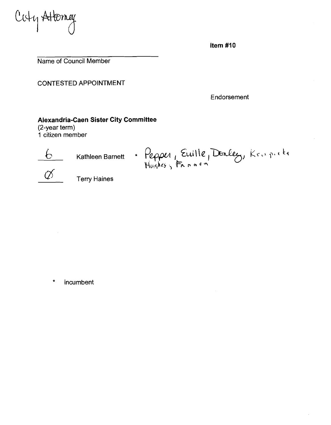Cuty Atterney

Item  $#10$ 

Name of Council Member

CONTESTED APPOINTMENT

Endorsement

#### **Alexandria-Caen Sister City Committee**

(2-year term) **1** citizen member



6 Kathleen Barnett \* Pepper, Euille, Denley, Krapicke



 $\varnothing$  Terry Haines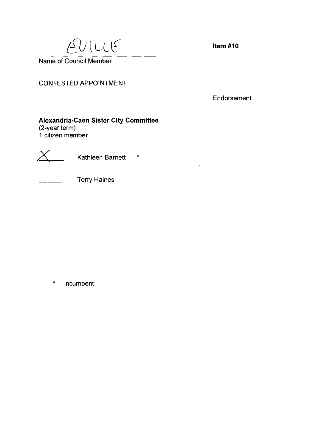$EULU$ 

Item #10

Name of Council Member

### CONTESTED APPOINTMENT

Endorsement

# **Alexandria-Caen Sister City Committee**

(2-year term) **1** citizen member



 $X_{\underline{\hspace{1cm}}}$  Kathleen Barnett \*

Terry Haines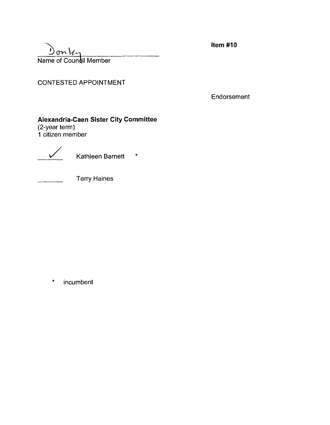$Dom$ ley Name of Council Member

## CONTESTED APPOINTMENT

Endorsement

### **Alexandria-Caen Sister City Committee**

(2-year term) 1 citizen member

 $\overline{\smash{\big)}\,}$  Kathleen Barnett  $\quad$ \*

Terry Haines

\* incumbent

Item  $#10$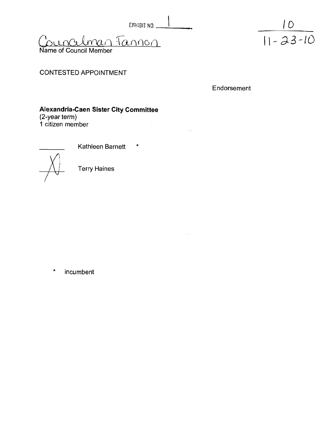EXHIBIT NO.  $\qquad$ Councilmen Tannon

Name of Council Member

# $\frac{10}{11 - 23 - 10}$

### CONTESTED APPOINTMENT

Endorsement

**Alexandria-Caen Sister City Committee** 

(2-year term) **1** citizen member



Kathleen Barnett \*

 $\label{eq:2.1} \begin{split} \mathcal{L}_{\text{max}}(\mathbf{r}) & = \mathcal{L}_{\text{max}}(\mathbf{r}) \\ \mathcal{L}_{\text{max}}(\mathbf{r}) & = \mathcal{L}_{\text{max}}(\mathbf{r}) \\ \mathcal{L}_{\text{max}}(\mathbf{r}) & = \mathcal{L}_{\text{max}}(\mathbf{r}) \\ \mathcal{L}_{\text{max}}(\mathbf{r}) & = \mathcal{L}_{\text{max}}(\mathbf{r}) \\ \mathcal{L}_{\text{max}}(\mathbf{r}) & = \mathcal{L}_{\text{max}}(\mathbf{r}) \\ \mathcal{L}_{\text{max}}(\mathbf{r}) & = \math$ 

Terry Haines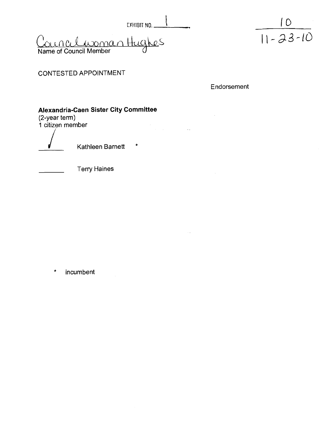EXHIBIT NO.  $-$ 

<u>incelaroman</u> Hug Name of Council Member



CONTESTED APPOINTMENT

Endorsement

 $\sim 100$ 

## **Alexandria-Caen Sister City Committee**

(2-year term) **1** citizen member

Kathleen Barnett \*

Terry Haines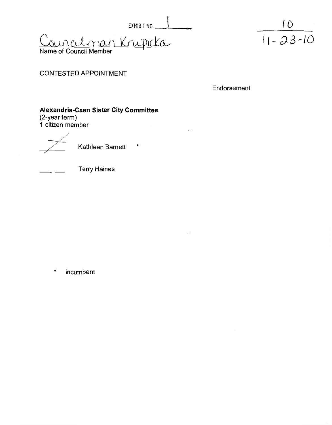$EXHIBIT NO.$ ouralman Krupicka

 $\frac{10}{11 - 23 - 10}$ 

Name of Council Member

### CONTESTED APPOINTMENT

Endorsement

# **Alexandria-Caen Sister City Committee**

(2-year term) **I** citizen member

Kathleen Barnett \*

Terry Haines

incumbent